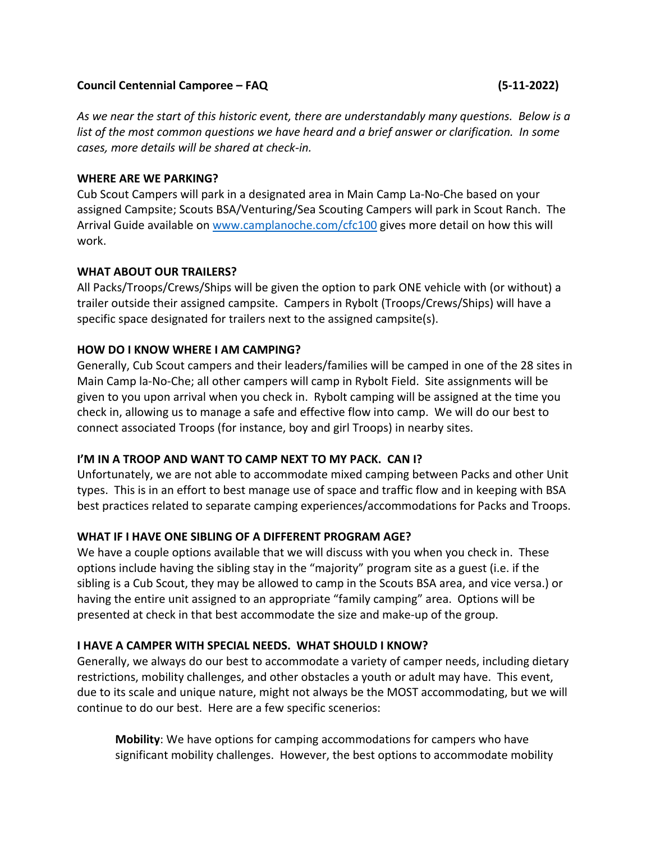### **Council Centennial Camporee – FAQ (5-11-2022)**

*As we near the start of this historic event, there are understandably many questions. Below is a list of the most common questions we have heard and a brief answer or clarification. In some cases, more details will be shared at check-in.*

### **WHERE ARE WE PARKING?**

Cub Scout Campers will park in a designated area in Main Camp La-No-Che based on your assigned Campsite; Scouts BSA/Venturing/Sea Scouting Campers will park in Scout Ranch. The Arrival Guide available on www.camplanoche.com/cfc100 gives more detail on how this will work.

## **WHAT ABOUT OUR TRAILERS?**

All Packs/Troops/Crews/Ships will be given the option to park ONE vehicle with (or without) a trailer outside their assigned campsite. Campers in Rybolt (Troops/Crews/Ships) will have a specific space designated for trailers next to the assigned campsite(s).

## **HOW DO I KNOW WHERE I AM CAMPING?**

Generally, Cub Scout campers and their leaders/families will be camped in one of the 28 sites in Main Camp la-No-Che; all other campers will camp in Rybolt Field. Site assignments will be given to you upon arrival when you check in. Rybolt camping will be assigned at the time you check in, allowing us to manage a safe and effective flow into camp. We will do our best to connect associated Troops (for instance, boy and girl Troops) in nearby sites.

### **I'M IN A TROOP AND WANT TO CAMP NEXT TO MY PACK. CAN I?**

Unfortunately, we are not able to accommodate mixed camping between Packs and other Unit types. This is in an effort to best manage use of space and traffic flow and in keeping with BSA best practices related to separate camping experiences/accommodations for Packs and Troops.

### **WHAT IF I HAVE ONE SIBLING OF A DIFFERENT PROGRAM AGE?**

We have a couple options available that we will discuss with you when you check in. These options include having the sibling stay in the "majority" program site as a guest (i.e. if the sibling is a Cub Scout, they may be allowed to camp in the Scouts BSA area, and vice versa.) or having the entire unit assigned to an appropriate "family camping" area. Options will be presented at check in that best accommodate the size and make-up of the group.

## **I HAVE A CAMPER WITH SPECIAL NEEDS. WHAT SHOULD I KNOW?**

Generally, we always do our best to accommodate a variety of camper needs, including dietary restrictions, mobility challenges, and other obstacles a youth or adult may have. This event, due to its scale and unique nature, might not always be the MOST accommodating, but we will continue to do our best. Here are a few specific scenerios:

**Mobility**: We have options for camping accommodations for campers who have significant mobility challenges. However, the best options to accommodate mobility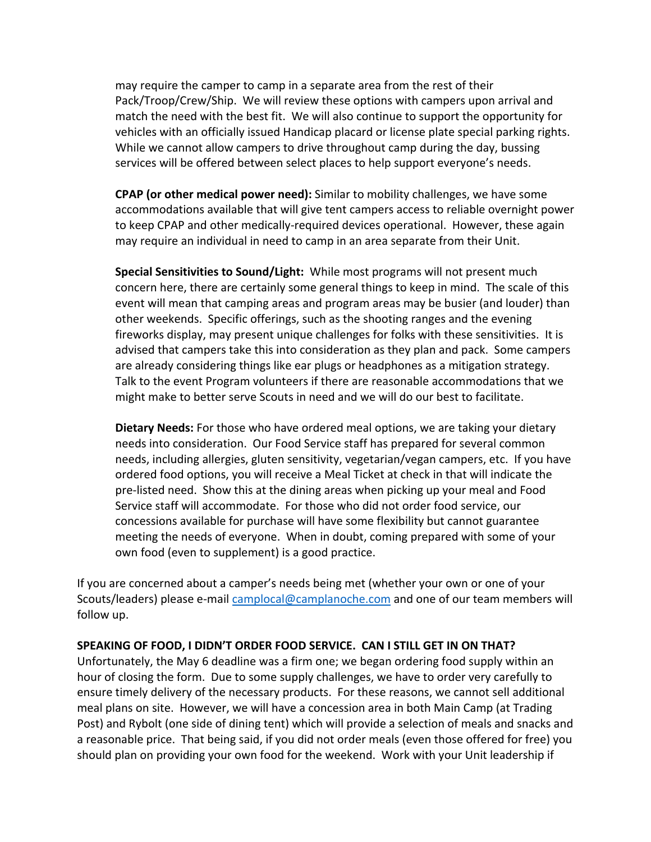may require the camper to camp in a separate area from the rest of their Pack/Troop/Crew/Ship. We will review these options with campers upon arrival and match the need with the best fit. We will also continue to support the opportunity for vehicles with an officially issued Handicap placard or license plate special parking rights. While we cannot allow campers to drive throughout camp during the day, bussing services will be offered between select places to help support everyone's needs.

**CPAP (or other medical power need):** Similar to mobility challenges, we have some accommodations available that will give tent campers access to reliable overnight power to keep CPAP and other medically-required devices operational. However, these again may require an individual in need to camp in an area separate from their Unit.

**Special Sensitivities to Sound/Light:** While most programs will not present much concern here, there are certainly some general things to keep in mind. The scale of this event will mean that camping areas and program areas may be busier (and louder) than other weekends. Specific offerings, such as the shooting ranges and the evening fireworks display, may present unique challenges for folks with these sensitivities. It is advised that campers take this into consideration as they plan and pack. Some campers are already considering things like ear plugs or headphones as a mitigation strategy. Talk to the event Program volunteers if there are reasonable accommodations that we might make to better serve Scouts in need and we will do our best to facilitate.

**Dietary Needs:** For those who have ordered meal options, we are taking your dietary needs into consideration. Our Food Service staff has prepared for several common needs, including allergies, gluten sensitivity, vegetarian/vegan campers, etc. If you have ordered food options, you will receive a Meal Ticket at check in that will indicate the pre-listed need. Show this at the dining areas when picking up your meal and Food Service staff will accommodate. For those who did not order food service, our concessions available for purchase will have some flexibility but cannot guarantee meeting the needs of everyone. When in doubt, coming prepared with some of your own food (even to supplement) is a good practice.

If you are concerned about a camper's needs being met (whether your own or one of your Scouts/leaders) please e-mail camplocal@camplanoche.com and one of our team members will follow up.

### **SPEAKING OF FOOD, I DIDN'T ORDER FOOD SERVICE. CAN I STILL GET IN ON THAT?**

Unfortunately, the May 6 deadline was a firm one; we began ordering food supply within an hour of closing the form. Due to some supply challenges, we have to order very carefully to ensure timely delivery of the necessary products. For these reasons, we cannot sell additional meal plans on site. However, we will have a concession area in both Main Camp (at Trading Post) and Rybolt (one side of dining tent) which will provide a selection of meals and snacks and a reasonable price. That being said, if you did not order meals (even those offered for free) you should plan on providing your own food for the weekend. Work with your Unit leadership if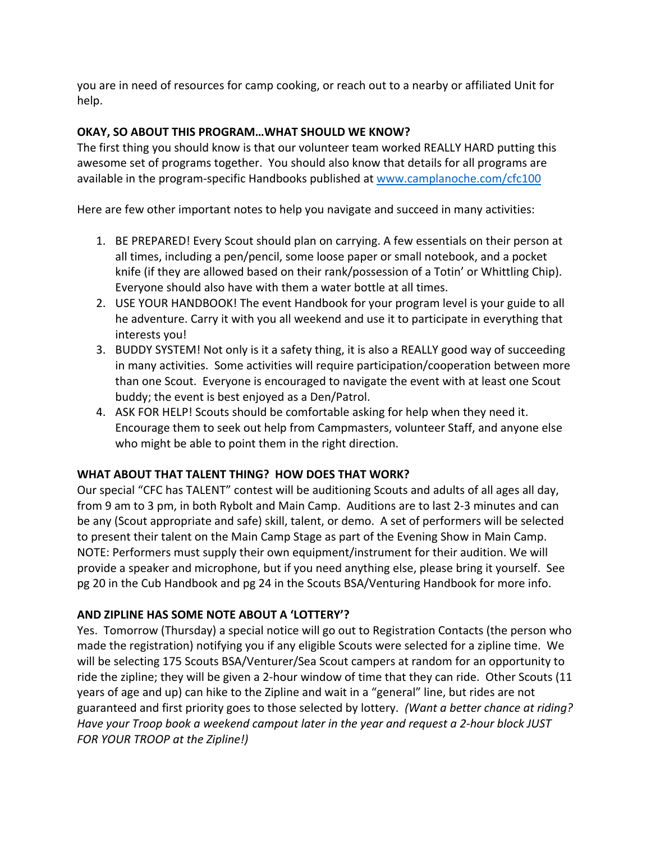you are in need of resources for camp cooking, or reach out to a nearby or affiliated Unit for help.

## **OKAY, SO ABOUT THIS PROGRAM…WHAT SHOULD WE KNOW?**

The first thing you should know is that our volunteer team worked REALLY HARD putting this awesome set of programs together. You should also know that details for all programs are available in the program-specific Handbooks published at www.camplanoche.com/cfc100

Here are few other important notes to help you navigate and succeed in many activities:

- 1. BE PREPARED! Every Scout should plan on carrying. A few essentials on their person at all times, including a pen/pencil, some loose paper or small notebook, and a pocket knife (if they are allowed based on their rank/possession of a Totin' or Whittling Chip). Everyone should also have with them a water bottle at all times.
- 2. USE YOUR HANDBOOK! The event Handbook for your program level is your guide to all he adventure. Carry it with you all weekend and use it to participate in everything that interests you!
- 3. BUDDY SYSTEM! Not only is it a safety thing, it is also a REALLY good way of succeeding in many activities. Some activities will require participation/cooperation between more than one Scout. Everyone is encouraged to navigate the event with at least one Scout buddy; the event is best enjoyed as a Den/Patrol.
- 4. ASK FOR HELP! Scouts should be comfortable asking for help when they need it. Encourage them to seek out help from Campmasters, volunteer Staff, and anyone else who might be able to point them in the right direction.

# **WHAT ABOUT THAT TALENT THING? HOW DOES THAT WORK?**

Our special "CFC has TALENT" contest will be auditioning Scouts and adults of all ages all day, from 9 am to 3 pm, in both Rybolt and Main Camp. Auditions are to last 2-3 minutes and can be any (Scout appropriate and safe) skill, talent, or demo. A set of performers will be selected to present their talent on the Main Camp Stage as part of the Evening Show in Main Camp. NOTE: Performers must supply their own equipment/instrument for their audition. We will provide a speaker and microphone, but if you need anything else, please bring it yourself. See pg 20 in the Cub Handbook and pg 24 in the Scouts BSA/Venturing Handbook for more info.

# **AND ZIPLINE HAS SOME NOTE ABOUT A 'LOTTERY'?**

Yes. Tomorrow (Thursday) a special notice will go out to Registration Contacts (the person who made the registration) notifying you if any eligible Scouts were selected for a zipline time. We will be selecting 175 Scouts BSA/Venturer/Sea Scout campers at random for an opportunity to ride the zipline; they will be given a 2-hour window of time that they can ride. Other Scouts (11 years of age and up) can hike to the Zipline and wait in a "general" line, but rides are not guaranteed and first priority goes to those selected by lottery. *(Want a better chance at riding? Have your Troop book a weekend campout later in the year and request a 2-hour block JUST FOR YOUR TROOP at the Zipline!)*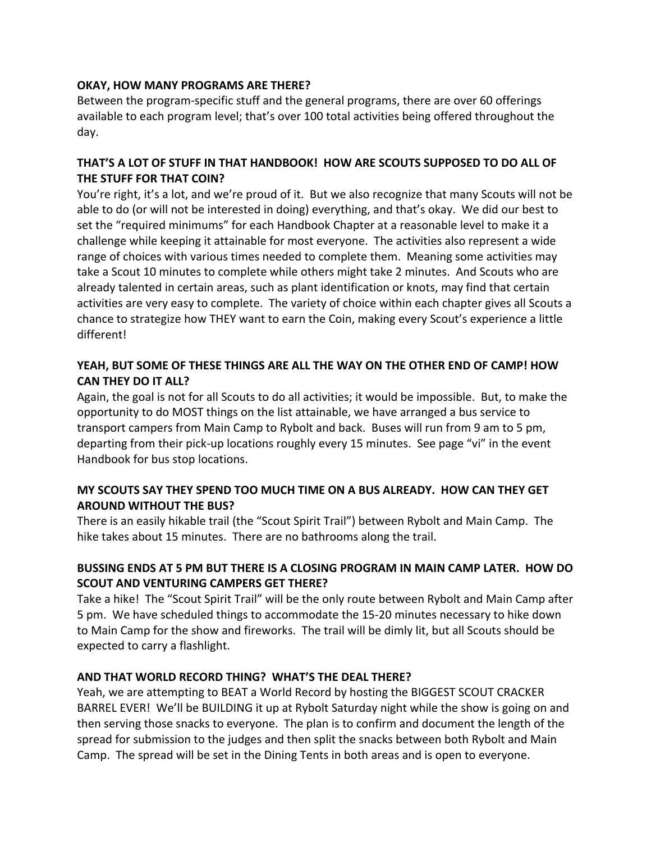## **OKAY, HOW MANY PROGRAMS ARE THERE?**

Between the program-specific stuff and the general programs, there are over 60 offerings available to each program level; that's over 100 total activities being offered throughout the day.

## **THAT'S A LOT OF STUFF IN THAT HANDBOOK! HOW ARE SCOUTS SUPPOSED TO DO ALL OF THE STUFF FOR THAT COIN?**

You're right, it's a lot, and we're proud of it. But we also recognize that many Scouts will not be able to do (or will not be interested in doing) everything, and that's okay. We did our best to set the "required minimums" for each Handbook Chapter at a reasonable level to make it a challenge while keeping it attainable for most everyone. The activities also represent a wide range of choices with various times needed to complete them. Meaning some activities may take a Scout 10 minutes to complete while others might take 2 minutes. And Scouts who are already talented in certain areas, such as plant identification or knots, may find that certain activities are very easy to complete. The variety of choice within each chapter gives all Scouts a chance to strategize how THEY want to earn the Coin, making every Scout's experience a little different!

## **YEAH, BUT SOME OF THESE THINGS ARE ALL THE WAY ON THE OTHER END OF CAMP! HOW CAN THEY DO IT ALL?**

Again, the goal is not for all Scouts to do all activities; it would be impossible. But, to make the opportunity to do MOST things on the list attainable, we have arranged a bus service to transport campers from Main Camp to Rybolt and back. Buses will run from 9 am to 5 pm, departing from their pick-up locations roughly every 15 minutes. See page "vi" in the event Handbook for bus stop locations.

## **MY SCOUTS SAY THEY SPEND TOO MUCH TIME ON A BUS ALREADY. HOW CAN THEY GET AROUND WITHOUT THE BUS?**

There is an easily hikable trail (the "Scout Spirit Trail") between Rybolt and Main Camp. The hike takes about 15 minutes. There are no bathrooms along the trail.

## **BUSSING ENDS AT 5 PM BUT THERE IS A CLOSING PROGRAM IN MAIN CAMP LATER. HOW DO SCOUT AND VENTURING CAMPERS GET THERE?**

Take a hike! The "Scout Spirit Trail" will be the only route between Rybolt and Main Camp after 5 pm. We have scheduled things to accommodate the 15-20 minutes necessary to hike down to Main Camp for the show and fireworks. The trail will be dimly lit, but all Scouts should be expected to carry a flashlight.

## **AND THAT WORLD RECORD THING? WHAT'S THE DEAL THERE?**

Yeah, we are attempting to BEAT a World Record by hosting the BIGGEST SCOUT CRACKER BARREL EVER! We'll be BUILDING it up at Rybolt Saturday night while the show is going on and then serving those snacks to everyone. The plan is to confirm and document the length of the spread for submission to the judges and then split the snacks between both Rybolt and Main Camp. The spread will be set in the Dining Tents in both areas and is open to everyone.